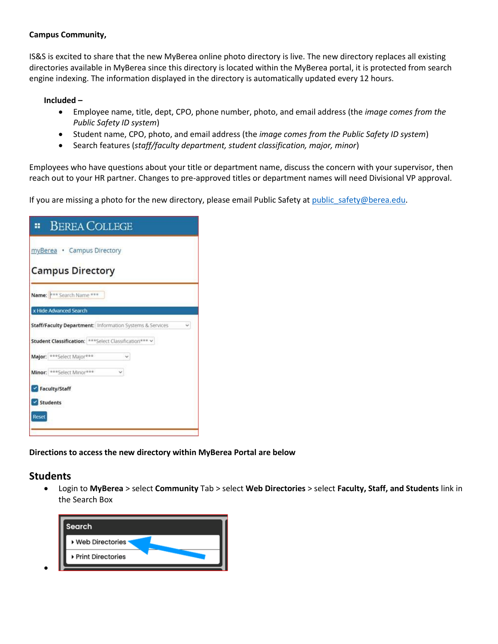#### **Campus Community,**

IS&S is excited to share that the new MyBerea online photo directory is live. The new directory replaces all existing directories available in MyBerea since this directory is located within the MyBerea portal, it is protected from search engine indexing. The information displayed in the directory is automatically updated every 12 hours.

#### **Included –**

- Employee name, title, dept, CPO, phone number, photo, and email address (the *image comes from the Public Safety ID system*)
- Student name, CPO, photo, and email address (the *image comes from the Public Safety ID system*)
- Search features (*staff/faculty department, student classification, major, minor*)

Employees who have questions about your title or department name, discuss the concern with your supervisor, then reach out to your HR partner. Changes to pre-approved titles or department names will need Divisional VP approval.

If you are missing a photo for the new directory, please email Public Safety at public safety@berea.edu.

|          | <b>BEREA COLLEGE</b>                                    |                                                          |   |
|----------|---------------------------------------------------------|----------------------------------------------------------|---|
|          | myBerea . Campus Directory                              |                                                          |   |
|          | <b>Campus Directory</b>                                 |                                                          |   |
|          | Name: *** Search Name ***                               |                                                          |   |
|          | x Hide Advanced Search                                  |                                                          |   |
|          |                                                         | Staff/Faculty Department: Information Systems & Services | v |
|          | Student Classification: *** Select Classification *** v |                                                          |   |
|          | Major: *** Select Major***                              |                                                          |   |
|          | Minor: *** Select Minor***                              |                                                          |   |
|          | Faculty/Staff                                           |                                                          |   |
| Students |                                                         |                                                          |   |
| Reset    |                                                         |                                                          |   |

**Directions to access the new directory within MyBerea Portal are below**

### **Students**

• Login to **MyBerea** > select **Community** Tab > select **Web Directories** > select **Faculty, Staff, and Students** link in the Search Box

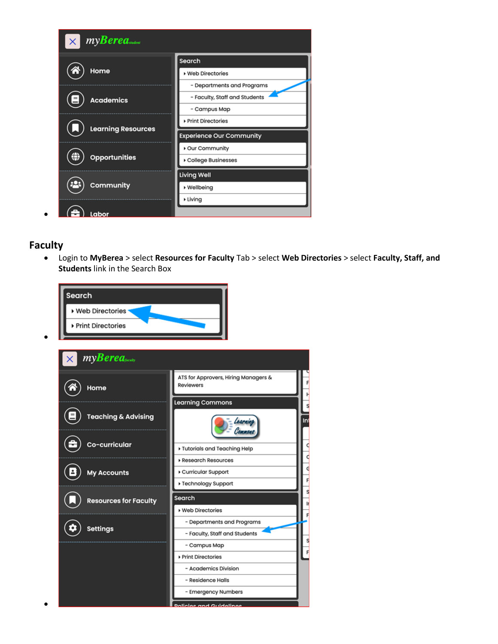

## **Faculty**

• Login to **MyBerea** > select **Resources for Faculty** Tab > select **Web Directories** > select **Faculty, Staff, and Students** link in the Search Box